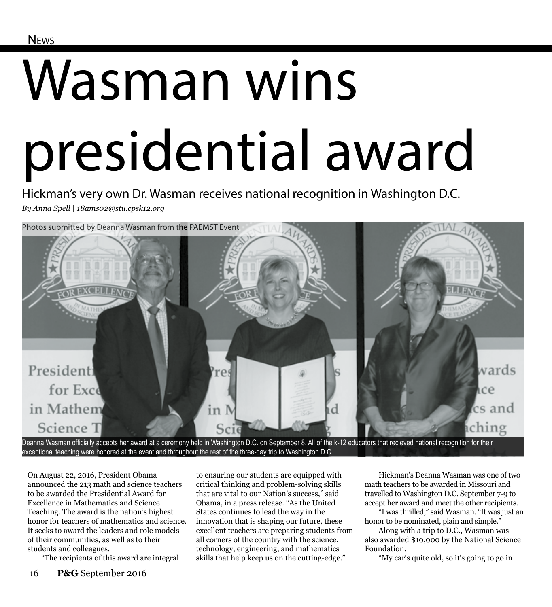## Wasman wins presidential award

Hickman's very own Dr. Wasman receives national recognition in Washington D.C. *By Anna Spell | 18ams02@stu.cpsk12.org*



Deanna Wasman officially accepts her award at a ceremony held in Washington D.C. on September 8. All of the k-12 educators that recieved national recognition for their exceptional teaching were honored at the event and throughout the rest of the three-day trip to Washington D.C.

On August 22, 2016, President Obama announced the 213 math and science teachers to be awarded the Presidential Award for Excellence in Mathematics and Science Teaching. The award is the nation's highest honor for teachers of mathematics and science. It seeks to award the leaders and role models of their communities, as well as to their students and colleagues.

"The recipients of this award are integral

to ensuring our students are equipped with critical thinking and problem-solving skills that are vital to our Nation's success," said Obama, in a press release. "As the United States continues to lead the way in the innovation that is shaping our future, these excellent teachers are preparing students from all corners of the country with the science, technology, engineering, and mathematics skills that help keep us on the cutting-edge."

Hickman's Deanna Wasman was one of two math teachers to be awarded in Missouri and travelled to Washington D.C. September 7-9 to accept her award and meet the other recipients.

"I was thrilled," said Wasman. "It was just an honor to be nominated, plain and simple."

Along with a trip to D.C., Wasman was also awarded \$10,000 by the National Science Foundation.

"My car's quite old, so it's going to go in